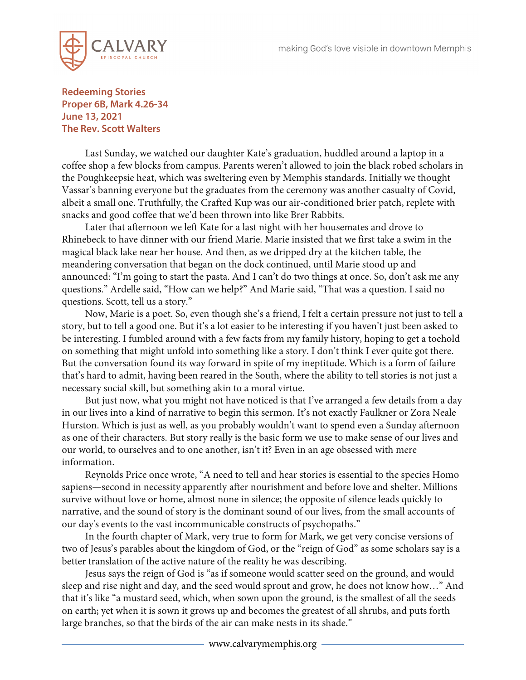

## **Redeeming Stories Proper 6B, Mark 4.26-34 June 13, 2021 The Rev. Scott Walters**

Last Sunday, we watched our daughter Kate's graduation, huddled around a laptop in a coffee shop a few blocks from campus. Parents weren't allowed to join the black robed scholars in the Poughkeepsie heat, which was sweltering even by Memphis standards. Initially we thought Vassar's banning everyone but the graduates from the ceremony was another casualty of Covid, albeit a small one. Truthfully, the Crafted Kup was our air-conditioned brier patch, replete with snacks and good coffee that we'd been thrown into like Brer Rabbits.

Later that afternoon we left Kate for a last night with her housemates and drove to Rhinebeck to have dinner with our friend Marie. Marie insisted that we first take a swim in the magical black lake near her house. And then, as we dripped dry at the kitchen table, the meandering conversation that began on the dock continued, until Marie stood up and announced: "I'm going to start the pasta. And I can't do two things at once. So, don't ask me any questions." Ardelle said, "How can we help?" And Marie said, "That was a question. I said no questions. Scott, tell us a story."

Now, Marie is a poet. So, even though she's a friend, I felt a certain pressure not just to tell a story, but to tell a good one. But it's a lot easier to be interesting if you haven't just been asked to be interesting. I fumbled around with a few facts from my family history, hoping to get a toehold on something that might unfold into something like a story. I don't think I ever quite got there. But the conversation found its way forward in spite of my ineptitude. Which is a form of failure that's hard to admit, having been reared in the South, where the ability to tell stories is not just a necessary social skill, but something akin to a moral virtue.

But just now, what you might not have noticed is that I've arranged a few details from a day in our lives into a kind of narrative to begin this sermon. It's not exactly Faulkner or Zora Neale Hurston. Which is just as well, as you probably wouldn't want to spend even a Sunday afternoon as one of their characters. But story really is the basic form we use to make sense of our lives and our world, to ourselves and to one another, isn't it? Even in an age obsessed with mere information.

Reynolds Price once wrote, "A need to tell and hear stories is essential to the species Homo sapiens—second in necessity apparently after nourishment and before love and shelter. Millions survive without love or home, almost none in silence; the opposite of silence leads quickly to narrative, and the sound of story is the dominant sound of our lives, from the small accounts of our day's events to the vast incommunicable constructs of psychopaths."

In the fourth chapter of Mark, very true to form for Mark, we get very concise versions of two of Jesus's parables about the kingdom of God, or the "reign of God" as some scholars say is a better translation of the active nature of the reality he was describing.

Jesus says the reign of God is "as if someone would scatter seed on the ground, and would sleep and rise night and day, and the seed would sprout and grow, he does not know how…" And that it's like "a mustard seed, which, when sown upon the ground, is the smallest of all the seeds on earth; yet when it is sown it grows up and becomes the greatest of all shrubs, and puts forth large branches, so that the birds of the air can make nests in its shade."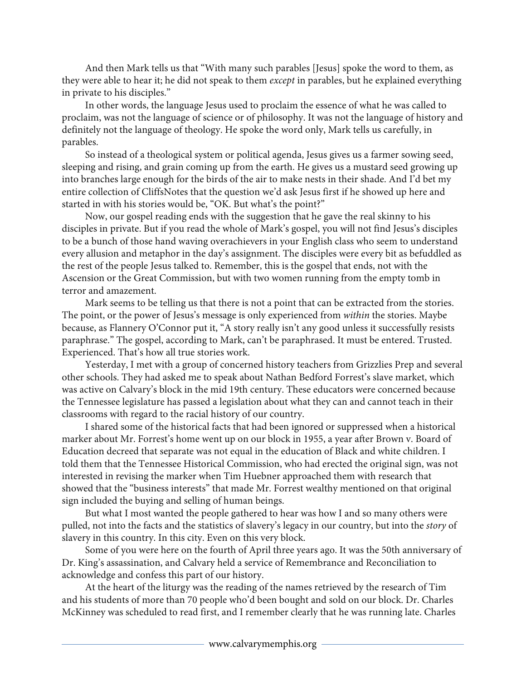And then Mark tells us that "With many such parables [Jesus] spoke the word to them, as they were able to hear it; he did not speak to them *except* in parables, but he explained everything in private to his disciples."

In other words, the language Jesus used to proclaim the essence of what he was called to proclaim, was not the language of science or of philosophy. It was not the language of history and definitely not the language of theology. He spoke the word only, Mark tells us carefully, in parables.

So instead of a theological system or political agenda, Jesus gives us a farmer sowing seed, sleeping and rising, and grain coming up from the earth. He gives us a mustard seed growing up into branches large enough for the birds of the air to make nests in their shade. And I'd bet my entire collection of CliffsNotes that the question we'd ask Jesus first if he showed up here and started in with his stories would be, "OK. But what's the point?"

Now, our gospel reading ends with the suggestion that he gave the real skinny to his disciples in private. But if you read the whole of Mark's gospel, you will not find Jesus's disciples to be a bunch of those hand waving overachievers in your English class who seem to understand every allusion and metaphor in the day's assignment. The disciples were every bit as befuddled as the rest of the people Jesus talked to. Remember, this is the gospel that ends, not with the Ascension or the Great Commission, but with two women running from the empty tomb in terror and amazement.

Mark seems to be telling us that there is not a point that can be extracted from the stories. The point, or the power of Jesus's message is only experienced from *within* the stories. Maybe because, as Flannery O'Connor put it, "A story really isn't any good unless it successfully resists paraphrase." The gospel, according to Mark, can't be paraphrased. It must be entered. Trusted. Experienced. That's how all true stories work.

Yesterday, I met with a group of concerned history teachers from Grizzlies Prep and several other schools. They had asked me to speak about Nathan Bedford Forrest's slave market, which was active on Calvary's block in the mid 19th century. These educators were concerned because the Tennessee legislature has passed a legislation about what they can and cannot teach in their classrooms with regard to the racial history of our country.

I shared some of the historical facts that had been ignored or suppressed when a historical marker about Mr. Forrest's home went up on our block in 1955, a year after Brown v. Board of Education decreed that separate was not equal in the education of Black and white children. I told them that the Tennessee Historical Commission, who had erected the original sign, was not interested in revising the marker when Tim Huebner approached them with research that showed that the "business interests" that made Mr. Forrest wealthy mentioned on that original sign included the buying and selling of human beings.

But what I most wanted the people gathered to hear was how I and so many others were pulled, not into the facts and the statistics of slavery's legacy in our country, but into the *story* of slavery in this country. In this city. Even on this very block.

Some of you were here on the fourth of April three years ago. It was the 50th anniversary of Dr. King's assassination, and Calvary held a service of Remembrance and Reconciliation to acknowledge and confess this part of our history.

At the heart of the liturgy was the reading of the names retrieved by the research of Tim and his students of more than 70 people who'd been bought and sold on our block. Dr. Charles McKinney was scheduled to read first, and I remember clearly that he was running late. Charles